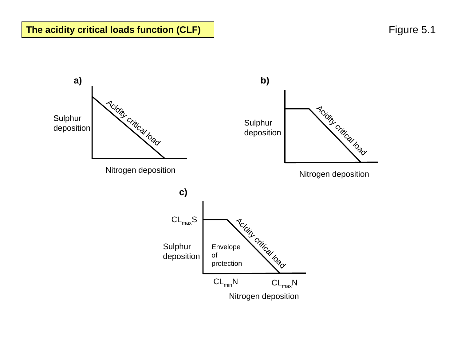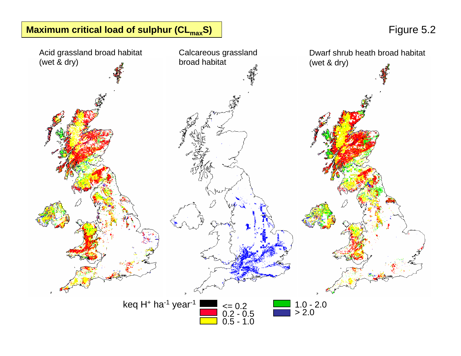# **Maximum critical load of sulphur (CL<sub>max</sub>S) Figure 5.2**

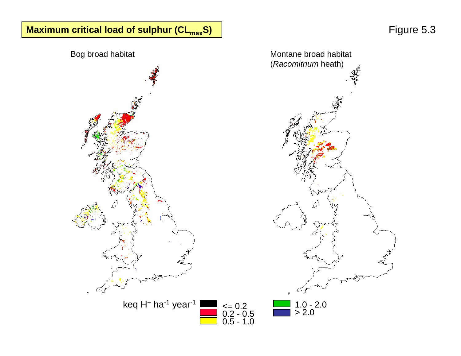# **Maximum critical load of sulphur (CL<sub>max</sub>S) | The subset of the set of the set of the set of the set of the set of the set of the set of the set of the set of the set of the set of the set of the set of the set of the set**

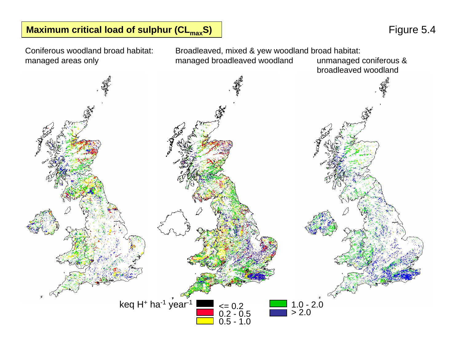## **Maximum critical load of sulphur (CL<sub>max</sub>S) and the set of the set of the set of the set of the S.4**

Coniferous woodland broad habitat: managed areas only

Broadleaved, mixed & yew woodland broad habitat:<br>managed broadleaved woodland unmanaged coniferous & managed broadleaved woodland

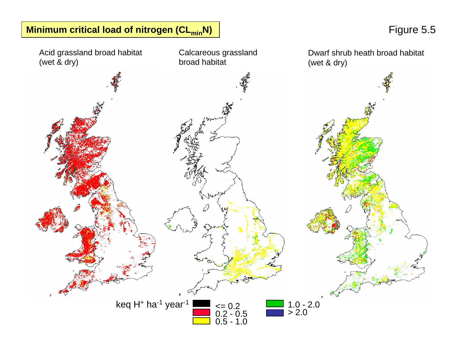

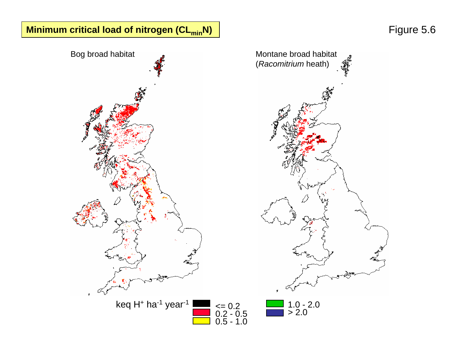# **Minimum critical load of nitrogen (CL<sub>min</sub>N) | minimum critical load of nitrogen (CL<sub>min</sub>N) | Figure 5.6**

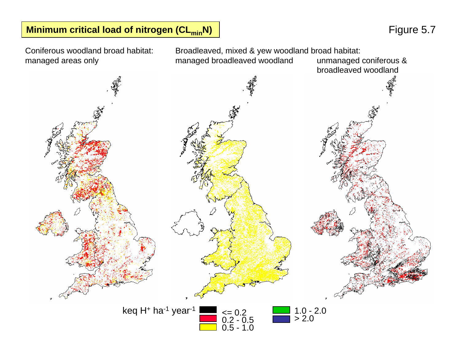## **Minimum critical load of nitrogen (CL<sub>min</sub>N) | The set of the set of the set of the set of the set of the set of the set of the set of the set of the set of the set of the set of the set of the set of the set of the set o**

<= 0.2 0.2 - 0.5 0.5 - 1.0 1.0 - 2.0 > 2.0keq H<sup>+</sup> ha<sup>-1</sup> year<sup>-1</sup> Broadleaved, mixed & yew woodland broad habitat:<br>managed broadleaved woodland unmanaged coniferous & managed broadleaved woodland broadleaved woodland Coniferous woodland broad habitat: managed areas only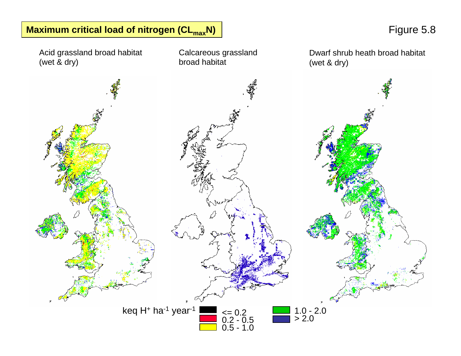

**Maximum critical load of nitrogen (CL<sub>max</sub>N) and a set of the set of the set of the set of the S.8** Figure 5.8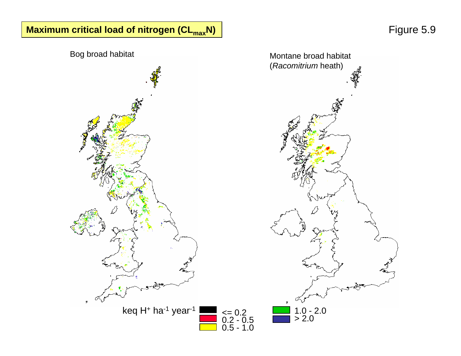# **Maximum critical load of nitrogen (CL<sub>max</sub>N) | maximum critical load of nitrogen (CL<sub>max</sub>N) | maximum critical load of nitrogen (CL<sub>max</sub>N) | maximum critical load of nitrogen (CL<sub>max</sub>N) | maximum critical load of nitrogen**